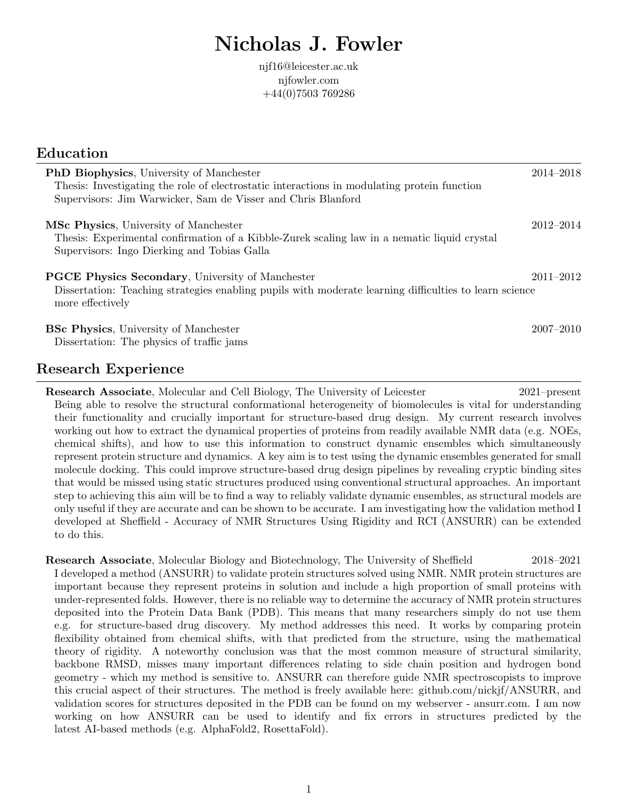# Nicholas J. Fowler

njf16@leicester.ac.uk njfowler.com +44(0)7503 769286

| Education                                                                                                                                                                                                       |               |
|-----------------------------------------------------------------------------------------------------------------------------------------------------------------------------------------------------------------|---------------|
| <b>PhD Biophysics</b> , University of Manchester<br>Thesis: Investigating the role of electrostatic interactions in modulating protein function<br>Supervisors: Jim Warwicker, Sam de Visser and Chris Blanford | $2014 - 2018$ |
| <b>MSc Physics</b> , University of Manchester<br>Thesis: Experimental confirmation of a Kibble-Zurek scaling law in a nematic liquid crystal<br>Supervisors: Ingo Dierking and Tobias Galla                     | 2012-2014     |
| <b>PGCE Physics Secondary</b> , University of Manchester<br>Dissertation: Teaching strategies enabling pupils with moderate learning difficulties to learn science<br>more effectively                          | $2011 - 2012$ |
| <b>BSc Physics</b> , University of Manchester<br>Dissertation: The physics of traffic jams                                                                                                                      | $2007 - 2010$ |

#### Research Experience

Research Associate, Molecular and Cell Biology, The University of Leicester 2021–present Being able to resolve the structural conformational heterogeneity of biomolecules is vital for understanding their functionality and crucially important for structure-based drug design. My current research involves working out how to extract the dynamical properties of proteins from readily available NMR data (e.g. NOEs, chemical shifts), and how to use this information to construct dynamic ensembles which simultaneously represent protein structure and dynamics. A key aim is to test using the dynamic ensembles generated for small molecule docking. This could improve structure-based drug design pipelines by revealing cryptic binding sites that would be missed using static structures produced using conventional structural approaches. An important step to achieving this aim will be to find a way to reliably validate dynamic ensembles, as structural models are only useful if they are accurate and can be shown to be accurate. I am investigating how the validation method I developed at Sheffield - Accuracy of NMR Structures Using Rigidity and RCI (ANSURR) can be extended to do this.

Research Associate, Molecular Biology and Biotechnology, The University of Sheffield 2018–2021 I developed a method (ANSURR) to validate protein structures solved using NMR. NMR protein structures are important because they represent proteins in solution and include a high proportion of small proteins with under-represented folds. However, there is no reliable way to determine the accuracy of NMR protein structures deposited into the Protein Data Bank (PDB). This means that many researchers simply do not use them e.g. for structure-based drug discovery. My method addresses this need. It works by comparing protein flexibility obtained from chemical shifts, with that predicted from the structure, using the mathematical theory of rigidity. A noteworthy conclusion was that the most common measure of structural similarity, backbone RMSD, misses many important differences relating to side chain position and hydrogen bond geometry - which my method is sensitive to. ANSURR can therefore guide NMR spectroscopists to improve this crucial aspect of their structures. The method is freely available here: github.com/nickjf/ANSURR, and validation scores for structures deposited in the PDB can be found on my webserver - ansurr.com. I am now working on how ANSURR can be used to identify and fix errors in structures predicted by the latest AI-based methods (e.g. AlphaFold2, RosettaFold).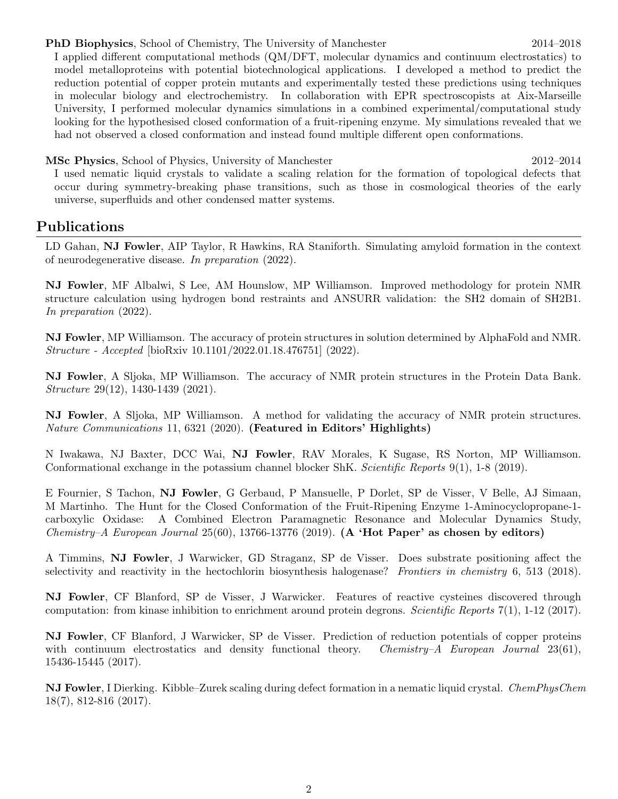PhD Biophysics, School of Chemistry, The University of Manchester 2014–2018

I applied different computational methods (QM/DFT, molecular dynamics and continuum electrostatics) to model metalloproteins with potential biotechnological applications. I developed a method to predict the reduction potential of copper protein mutants and experimentally tested these predictions using techniques in molecular biology and electrochemistry. In collaboration with EPR spectroscopists at Aix-Marseille University, I performed molecular dynamics simulations in a combined experimental/computational study looking for the hypothesised closed conformation of a fruit-ripening enzyme. My simulations revealed that we had not observed a closed conformation and instead found multiple different open conformations.

MSc Physics, School of Physics, University of Manchester 2012–2014

I used nematic liquid crystals to validate a scaling relation for the formation of topological defects that occur during symmetry-breaking phase transitions, such as those in cosmological theories of the early universe, superfluids and other condensed matter systems.

#### Publications

LD Gahan, NJ Fowler, AIP Taylor, R Hawkins, RA Staniforth. Simulating amyloid formation in the context of neurodegenerative disease. In preparation (2022).

NJ Fowler, MF Albalwi, S Lee, AM Hounslow, MP Williamson. Improved methodology for protein NMR structure calculation using hydrogen bond restraints and ANSURR validation: the SH2 domain of SH2B1. In preparation (2022).

NJ Fowler, MP Williamson. The accuracy of protein structures in solution determined by AlphaFold and NMR. Structure - Accepted [bioRxiv 10.1101/2022.01.18.476751] (2022).

NJ Fowler, A Sljoka, MP Williamson. The accuracy of NMR protein structures in the Protein Data Bank. Structure 29(12), 1430-1439 (2021).

NJ Fowler, A Sljoka, MP Williamson. A method for validating the accuracy of NMR protein structures. Nature Communications 11, 6321 (2020). (Featured in Editors' Highlights)

N Iwakawa, NJ Baxter, DCC Wai, NJ Fowler, RAV Morales, K Sugase, RS Norton, MP Williamson. Conformational exchange in the potassium channel blocker ShK. Scientific Reports 9(1), 1-8 (2019).

E Fournier, S Tachon, NJ Fowler, G Gerbaud, P Mansuelle, P Dorlet, SP de Visser, V Belle, AJ Simaan, M Martinho. The Hunt for the Closed Conformation of the Fruit-Ripening Enzyme 1-Aminocyclopropane-1 carboxylic Oxidase: A Combined Electron Paramagnetic Resonance and Molecular Dynamics Study, Chemistry–A European Journal  $25(60)$ , 13766-13776 (2019). (A 'Hot Paper' as chosen by editors)

A Timmins, NJ Fowler, J Warwicker, GD Straganz, SP de Visser. Does substrate positioning affect the selectivity and reactivity in the hectochlorin biosynthesis halogenase? Frontiers in chemistry 6, 513 (2018).

NJ Fowler, CF Blanford, SP de Visser, J Warwicker. Features of reactive cysteines discovered through computation: from kinase inhibition to enrichment around protein degrons. Scientific Reports 7(1), 1-12 (2017).

NJ Fowler, CF Blanford, J Warwicker, SP de Visser. Prediction of reduction potentials of copper proteins with continuum electrostatics and density functional theory. Chemistry–A European Journal  $23(61)$ , 15436-15445 (2017).

NJ Fowler, I Dierking. Kibble–Zurek scaling during defect formation in a nematic liquid crystal. ChemPhysChem 18(7), 812-816 (2017).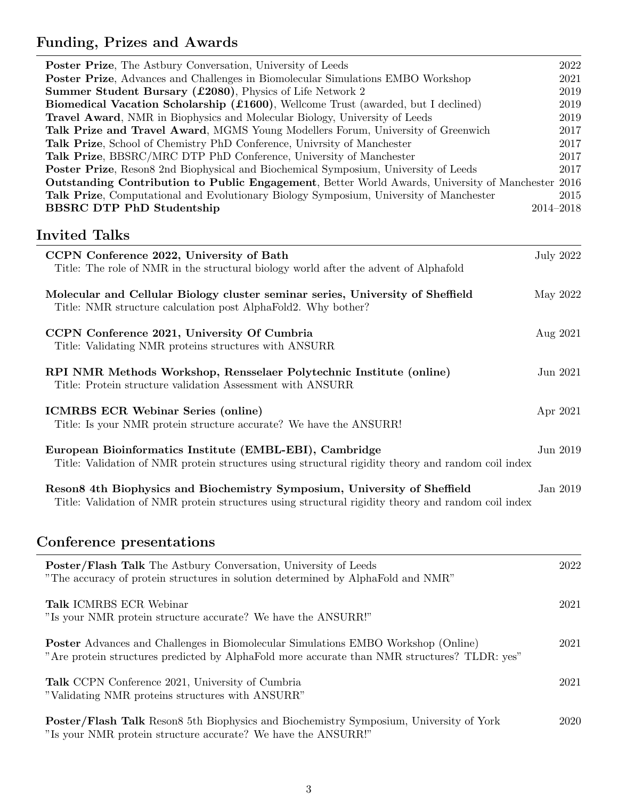## Funding, Prizes and Awards

| Poster Prize, The Astbury Conversation, University of Leeds                                               | 2022      |
|-----------------------------------------------------------------------------------------------------------|-----------|
| Poster Prize, Advances and Challenges in Biomolecular Simulations EMBO Workshop                           | 2021      |
| Summer Student Bursary (£2080), Physics of Life Network 2                                                 | 2019      |
| <b>Biomedical Vacation Scholarship (£1600)</b> , Wellcome Trust (awarded, but I declined)                 | 2019      |
| <b>Travel Award</b> , NMR in Biophysics and Molecular Biology, University of Leeds                        | 2019      |
| <b>Talk Prize and Travel Award, MGMS Young Modellers Forum, University of Greenwich</b>                   | 2017      |
| <b>Talk Prize,</b> School of Chemistry PhD Conference, University of Manchester                           | 2017      |
| Talk Prize, BBSRC/MRC DTP PhD Conference, University of Manchester                                        | 2017      |
| <b>Poster Prize</b> , Reson8 2nd Biophysical and Biochemical Symposium, University of Leeds               | 2017      |
| <b>Outstanding Contribution to Public Engagement</b> , Better World Awards, University of Manchester 2016 |           |
| Talk Prize, Computational and Evolutionary Biology Symposium, University of Manchester                    | 2015      |
| <b>BBSRC DTP PhD Studentship</b>                                                                          | 2014-2018 |

### Invited Talks

| CCPN Conference 2022, University of Bath<br>Title: The role of NMR in the structural biology world after the advent of Alphafold                                                | July 2022 |
|---------------------------------------------------------------------------------------------------------------------------------------------------------------------------------|-----------|
| Molecular and Cellular Biology cluster seminar series, University of Sheffield<br>Title: NMR structure calculation post AlphaFold2. Why bother?                                 | May 2022  |
| CCPN Conference 2021, University Of Cumbria<br>Title: Validating NMR proteins structures with ANSURR                                                                            | Aug 2021  |
| RPI NMR Methods Workshop, Rensselaer Polytechnic Institute (online)<br>Title: Protein structure validation Assessment with ANSURR                                               | Jun 2021  |
| <b>ICMRBS ECR Webinar Series (online)</b><br>Title: Is your NMR protein structure accurate? We have the ANSURR!                                                                 | Apr 2021  |
| European Bioinformatics Institute (EMBL-EBI), Cambridge<br>Title: Validation of NMR protein structures using structural rigidity theory and random coil index                   | Jun 2019  |
| Reson8 4th Biophysics and Biochemistry Symposium, University of Sheffield<br>Title: Validation of NMR protein structures using structural rigidity theory and random coil index | Jan 2019  |

## Conference presentations

| Poster/Flash Talk The Astbury Conversation, University of Leeds<br>"The accuracy of protein structures in solution determined by AlphaFold and NMR"                                      | 2022 |
|------------------------------------------------------------------------------------------------------------------------------------------------------------------------------------------|------|
| <b>Talk ICMRBS ECR Webinar</b><br>"Is your NMR protein structure accurate? We have the ANSURR!"                                                                                          | 2021 |
| <b>Poster</b> Advances and Challenges in Biomolecular Simulations EMBO Workshop (Online)<br>"Are protein structures predicted by AlphaFold more accurate than NMR structures? TLDR: yes" | 2021 |
| <b>Talk</b> CCPN Conference 2021, University of Cumbria<br>"Validating NMR proteins structures with ANSURR"                                                                              | 2021 |
| <b>Poster/Flash Talk</b> Reson8 5th Biophysics and Biochemistry Symposium, University of York                                                                                            | 2020 |

Is your NMR protein structure accurate? We have the ANSURR!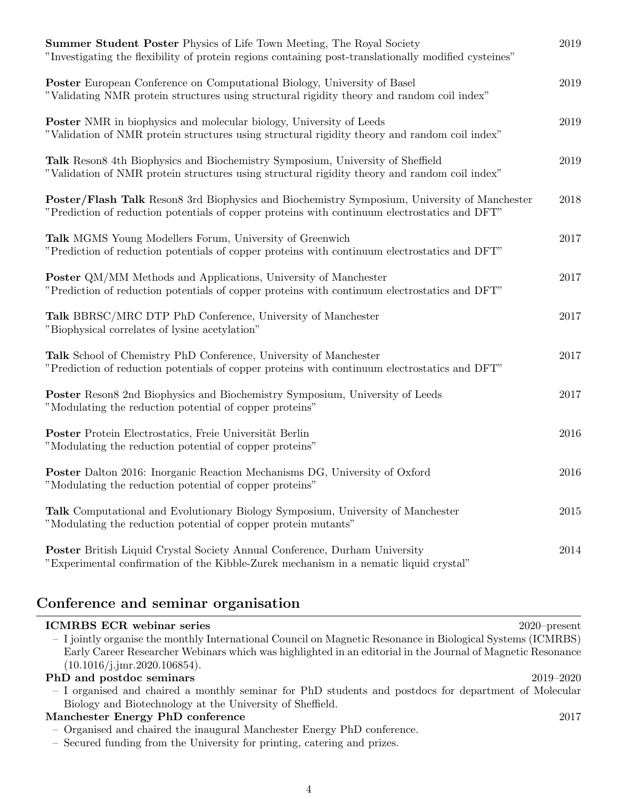| <b>Summer Student Poster Physics of Life Town Meeting, The Royal Society</b><br>"Investigating the flexibility of protein regions containing post-translationally modified cysteines"         | 2019 |
|-----------------------------------------------------------------------------------------------------------------------------------------------------------------------------------------------|------|
| <b>Poster</b> European Conference on Computational Biology, University of Basel<br>"Validating NMR protein structures using structural rigidity theory and random coil index"                 | 2019 |
| <b>Poster</b> NMR in biophysics and molecular biology, University of Leeds<br>"Validation of NMR protein structures using structural rigidity theory and random coil index"                   | 2019 |
| Talk Reson8 4th Biophysics and Biochemistry Symposium, University of Sheffield<br>"Validation of NMR protein structures using structural rigidity theory and random coil index"               | 2019 |
| Poster/Flash Talk Reson8 3rd Biophysics and Biochemistry Symposium, University of Manchester<br>"Prediction of reduction potentials of copper proteins with continuum electrostatics and DFT" | 2018 |
| Talk MGMS Young Modellers Forum, University of Greenwich<br>"Prediction of reduction potentials of copper proteins with continuum electrostatics and DFT"                                     | 2017 |
| <b>Poster</b> QM/MM Methods and Applications, University of Manchester<br>"Prediction of reduction potentials of copper proteins with continuum electrostatics and DFT"                       | 2017 |
| Talk BBRSC/MRC DTP PhD Conference, University of Manchester<br>"Biophysical correlates of lysine acetylation"                                                                                 | 2017 |
| Talk School of Chemistry PhD Conference, University of Manchester<br>"Prediction of reduction potentials of copper proteins with continuum electrostatics and DFT"                            | 2017 |
| <b>Poster</b> Reson8 2nd Biophysics and Biochemistry Symposium, University of Leeds<br>"Modulating the reduction potential of copper proteins"                                                | 2017 |
| Poster Protein Electrostatics, Freie Universität Berlin<br>"Modulating the reduction potential of copper proteins"                                                                            | 2016 |
| <b>Poster</b> Dalton 2016: Inorganic Reaction Mechanisms DG, University of Oxford<br>"Modulating the reduction potential of copper proteins"                                                  | 2016 |
| <b>Talk</b> Computational and Evolutionary Biology Symposium, University of Manchester<br>"Modulating the reduction potential of copper protein mutants"                                      | 2015 |
| <b>Poster</b> British Liquid Crystal Society Annual Conference, Durham University<br>"Experimental confirmation of the Kibble-Zurek mechanism in a nematic liquid crystal"                    | 2014 |

## Conference and seminar organisation

| <b>ICMRBS ECR</b> webinar series                                                                            | $2020$ -present |
|-------------------------------------------------------------------------------------------------------------|-----------------|
| - I jointly organise the monthly International Council on Magnetic Resonance in Biological Systems (ICMRBS) |                 |
| Early Career Researcher Webinars which was highlighted in an editorial in the Journal of Magnetic Resonance |                 |
| (10.1016/j.jmr.2020.106854).                                                                                |                 |
| PhD and postdoc seminars                                                                                    | 2019–2020       |
| - I organised and chaired a monthly seminar for PhD students and postdocs for department of Molecular       |                 |
| Biology and Biotechnology at the University of Sheffield.                                                   |                 |
| Manchester Energy PhD conference                                                                            | 2017            |
| - Organised and chaired the inaugural Manchester Energy PhD conference.                                     |                 |
| - Secured funding from the University for printing, catering and prizes.                                    |                 |